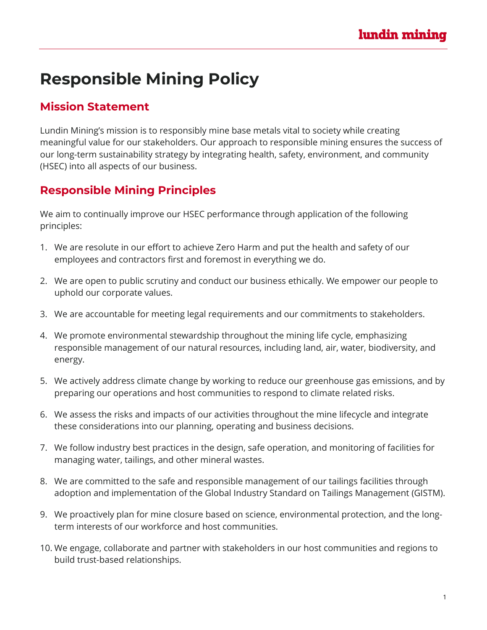## **Responsible Mining Policy**

## **Mission Statement**

Lundin Mining's mission is to responsibly mine base metals vital to society while creating meaningful value for our stakeholders. Our approach to responsible mining ensures the success of our long-term sustainability strategy by integrating health, safety, environment, and community (HSEC) into all aspects of our business.

## **Responsible Mining Principles**

We aim to continually improve our HSEC performance through application of the following principles:

- 1. We are resolute in our effort to achieve Zero Harm and put the health and safety of our employees and contractors first and foremost in everything we do.
- 2. We are open to public scrutiny and conduct our business ethically. We empower our people to uphold our corporate values.
- 3. We are accountable for meeting legal requirements and our commitments to stakeholders.
- 4. We promote environmental stewardship throughout the mining life cycle, emphasizing responsible management of our natural resources, including land, air, water, biodiversity, and energy.
- 5. We actively address climate change by working to reduce our greenhouse gas emissions, and by preparing our operations and host communities to respond to climate related risks.
- 6. We assess the risks and impacts of our activities throughout the mine lifecycle and integrate these considerations into our planning, operating and business decisions.
- 7. We follow industry best practices in the design, safe operation, and monitoring of facilities for managing water, tailings, and other mineral wastes.
- 8. We are committed to the safe and responsible management of our tailings facilities through adoption and implementation of the Global Industry Standard on Tailings Management (GISTM).
- 9. We proactively plan for mine closure based on science, environmental protection, and the longterm interests of our workforce and host communities.
- 10. We engage, collaborate and partner with stakeholders in our host communities and regions to build trust-based relationships.